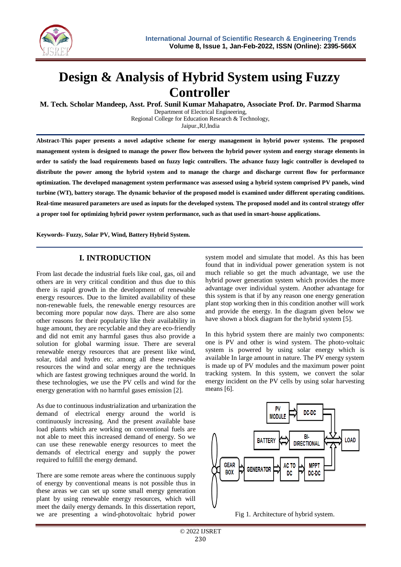

# **Design & Analysis of Hybrid System using Fuzzy Controller**

**M. Tech. Scholar Mandeep, Asst. Prof. Sunil Kumar Mahapatro, Associate Prof. Dr. Parmod Sharma**

Department of Electrical Engineering, Regional College for Education Research & Technology, Jaipur.,RJ,India

**Abstract-This paper presents a novel adaptive scheme for energy management in hybrid power systems. The proposed management system is designed to manage the power flow between the hybrid power system and energy storage elements in order to satisfy the load requirements based on fuzzy logic controllers. The advance fuzzy logic controller is developed to distribute the power among the hybrid system and to manage the charge and discharge current flow for performance optimization. The developed management system performance was assessed using a hybrid system comprised PV panels, wind turbine (WT), battery storage. The dynamic behavior of the proposed model is examined under different operating conditions. Real-time measured parameters are used as inputs for the developed system. The proposed model and its control strategy offer a proper tool for optimizing hybrid power system performance, such as that used in smart-house applications.**

**Keywords- Fuzzy, Solar PV, Wind, Battery Hybrid System.** 

## **I. INTRODUCTION**

From last decade the industrial fuels like coal, gas, oil and others are in very critical condition and thus due to this there is rapid growth in the development of renewable energy resources. Due to the limited availability of these non-renewable fuels, the renewable energy resources are becoming more popular now days. There are also some other reasons for their popularity like their availability in huge amount, they are recyclable and they are eco-friendly and did not emit any harmful gases thus also provide a solution for global warming issue. There are several renewable energy resources that are present like wind, solar, tidal and hydro etc. among all these renewable resources the wind and solar energy are the techniques which are fastest growing techniques around the world. In these technologies, we use the PV cells and wind for the energy generation with no harmful gases emission [2].

As due to continuous industrialization and urbanization the demand of electrical energy around the world is continuously increasing. And the present available base load plants which are working on conventional fuels are not able to meet this increased demand of energy. So we can use these renewable energy resources to meet the demands of electrical energy and supply the power required to fulfill the energy demand.

There are some remote areas where the continuous supply of energy by conventional means is not possible thus in these areas we can set up some small energy generation plant by using renewable energy resources, which will meet the daily energy demands. In this dissertation report, we are presenting a wind-photovoltaic hybrid power

system model and simulate that model. As this has been found that in individual power generation system is not much reliable so get the much advantage, we use the hybrid power generation system which provides the more advantage over individual system. Another advantage for this system is that if by any reason one energy generation plant stop working then in this condition another will work and provide the energy. In the diagram given below we have shown a block diagram for the hybrid system [5].

In this hybrid system there are mainly two components: one is PV and other is wind system. The photo-voltaic system is powered by using solar energy which is available In large amount in nature. The PV energy system is made up of PV modules and the maximum power point tracking system. In this system, we convert the solar energy incident on the PV cells by using solar harvesting means [6].



Fig 1. Architecture of hybrid system.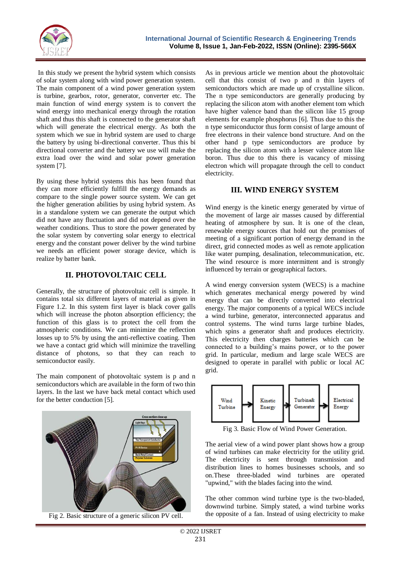

In this study we present the hybrid system which consists of solar system along with wind power generation system. The main component of a wind power generation system is turbine, gearbox, rotor, generator, converter etc. The main function of wind energy system is to convert the wind energy into mechanical energy through the rotation shaft and thus this shaft is connected to the generator shaft which will generate the electrical energy. As both the system which we sue in hybrid system are used to charge the battery by using bi-directional converter. Thus this bi directional converter and the battery we use will make the extra load over the wind and solar power generation system [7].

By using these hybrid systems this has been found that they can more efficiently fulfill the energy demands as compare to the single power source system. We can get the higher generation abilities by using hybrid system. As in a standalone system we can generate the output which did not have any fluctuation and did not depend over the weather conditions. Thus to store the power generated by the solar system by converting solar energy to electrical energy and the constant power deliver by the wind turbine we needs an efficient power storage device, which is realize by batter bank.

#### **II. PHOTOVOLTAIC CELL**

Generally, the structure of photovoltaic cell is simple. It contains total six different layers of material as given in Figure 1.2. In this system first layer is black cover galls which will increase the photon absorption efficiency; the function of this glass is to protect the cell from the atmospheric conditions. We can minimize the reflection losses up to 5% by using the anti-reflective coating. Then we have a contact grid which will minimize the travelling distance of photons, so that they can reach to semiconductor easily.

The main component of photovoltaic system is p and n semiconductors which are available in the form of two thin layers. In the last we have back metal contact which used for the better conduction [5].



Fig 2. Basic structure of a generic silicon PV cell.

As in previous article we mention about the photovoltaic cell that this consist of two p and n thin layers of semiconductors which are made up of crystalline silicon. The n type semiconductors are generally producing by replacing the silicon atom with another element tom which have higher valence band than the silicon like 15 group elements for example phosphorus [6]. Thus due to this the n type semiconductor thus form consist of large amount of free electrons in their valence bond structure. And on the other hand p type semiconductors are produce by replacing the silicon atom with a lesser valence atom like boron. Thus due to this there is vacancy of missing electron which will propagate through the cell to conduct electricity.

#### **III. WIND ENERGY SYSTEM**

Wind energy is the kinetic energy generated by virtue of the movement of large air masses caused by differential heating of atmosphere by sun. It is one of the clean, renewable energy sources that hold out the promises of meeting of a significant portion of energy demand in the direct, grid connected modes as well as remote application like water pumping, desalination, telecommunication, etc. The wind resource is more intermittent and is strongly influenced by terrain or geographical factors.

A wind energy conversion system (WECS) is a machine which generates mechanical energy powered by wind energy that can be directly converted into electrical energy. The major components of a typical WECS include a wind turbine, generator, interconnected apparatus and control systems. The wind turns large turbine blades, which spins a generator shaft and produces electricity. This electricity then charges batteries which can be connected to a building's mains power, or to the power grid. In particular, medium and large scale WECS are designed to operate in parallel with public or local AC grid.



Fig 3. Basic Flow of Wind Power Generation.

The aerial view of a wind power plant shows how a group of wind turbines can make electricity for the utility grid. The electricity is sent through transmission and distribution lines to homes businesses schools, and so on.These three-bladed wind turbines are operated "upwind," with the blades facing into the wind.

The other common wind turbine type is the two-bladed, downwind turbine. Simply stated, a wind turbine works the opposite of a fan. Instead of using electricity to make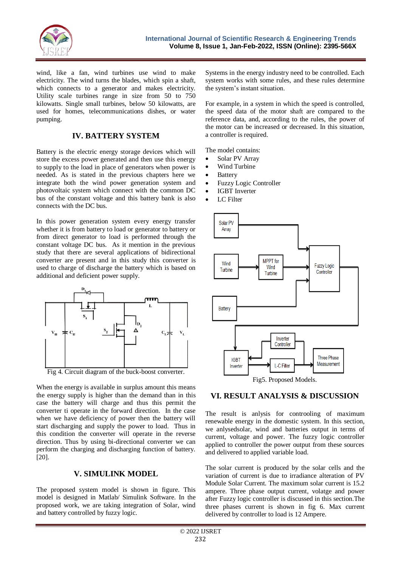

wind, like a fan, wind turbines use wind to make electricity. The wind turns the blades, which spin a shaft, which connects to a generator and makes electricity. Utility scale turbines range in size from 50 to 750 kilowatts. Single small turbines, below 50 kilowatts, are used for homes, telecommunications dishes, or water pumping.

#### **IV. BATTERY SYSTEM**

Battery is the electric energy storage devices which will store the excess power generated and then use this energy to supply to the load in place of generators when power is needed. As is stated in the previous chapters here we integrate both the wind power generation system and photovoltaic system which connect with the common DC bus of the constant voltage and this battery bank is also connects with the DC bus.

In this power generation system every energy transfer whether it is from battery to load or generator to battery or from direct generator to load is performed through the constant voltage DC bus. As it mention in the previous study that there are several applications of bidirectional converter are present and in this study this converter is used to charge of discharge the battery which is based on additional and deficient power supply.



Fig 4. Circuit diagram of the buck-boost converter.

When the energy is available in surplus amount this means the energy supply is higher than the demand than in this case the battery will charge and thus this permit the converter ti operate in the forward direction. In the case when we have deficiency of power then the battery will start discharging and supply the power to load. Thus in this condition the converter will operate in the reverse direction. Thus by using bi-directional converter we can perform the charging and discharging function of battery. [20].

#### **V. SIMULINK MODEL**

The proposed system model is shown in figure. This model is designed in Matlab/ Simulink Software. In the proposed work, we are taking integration of Solar, wind and battery controlled by fuzzy logic.

Systems in the energy industry need to be controlled. Each system works with some rules, and these rules determine the system's instant situation.

For example, in a system in which the speed is controlled, the speed data of the motor shaft are compared to the reference data, and, according to the rules, the power of the motor can be increased or decreased. In this situation, a controller is required.

The model contains:

- Solar PV Array
- Wind Turbine
- Battery
- Fuzzy Logic Controller
- IGBT Inverter
- LC Filter



#### **VI. RESULT ANALYSIS & DISCUSSION**

The result is anlysis for controoling of maximum renewable energy in the domestic system. In this section, we anlysedsolar, wind and batteries output in terms of current, voltage and power. The fuzzy logic controller applied to controller the power output from these sources and delivered to applied variable load.

The solar current is produced by the solar cells and the variation of current is due to irradiance alteration of PV Module Solar Current. The maximum solar current is 15.2 ampere. Three phase output current, volatge and power after Fuzzy logic controller is discussed in this section.The three phases current is shown in fig 6. Max current delivered by controller to load is 12 Ampere.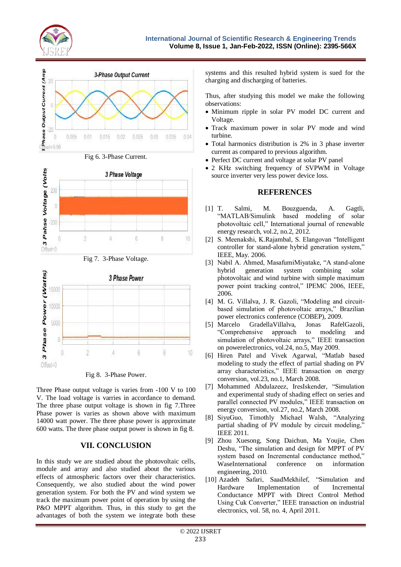











Fig 8. 3-Phase Power.

Three Phase output voltage is varies from -100 V to 100 V. The load voltage is varries in accordance to demand. The three phase output voltage is shown in fig 7.Three Phase power is varies as shown above with maximum 14000 watt power. The three phase power is approximate 600 watts. The three phase output power is shown in fig 8.

## **VII. CONCLUSION**

In this study we are studied about the photovoltaic cells, module and array and also studied about the various effects of atmospheric factors over their characteristics. Consequently, we also studied about the wind power generation system. For both the PV and wind system we track the maximum power point of operation by using the P&O MPPT algorithm. Thus, in this study to get the advantages of both the system we integrate both these systems and this resulted hybrid system is sued for the charging and discharging of batteries.

Thus, after studying this model we make the following observations:

- Minimum ripple in solar PV model DC current and Voltage.
- Track maximum power in solar PV mode and wind turbine.
- Total harmonics distribution is 2% in 3 phase inverter current as compared to previous algorithm.
- Perfect DC current and voltage at solar PV panel
- 2 KHz switching frequency of SVPWM in Voltage source inverter very less power device loss.

### **REFERENCES**

- [1] T. Salmi, M. Bouzguenda, A. Gagtli, "MATLAB/Simulink based modeling of solar photovoltaic cell," International journal of renewable energy research, vol.2, no.2, 2012.
- [2] S. Meenakshi, K.Rajambal, S. Elangovan "Intelligent controller for stand-alone hybrid generation system," IEEE, May. 2006.
- [3] Nabil A. Ahmed, MasafumiMiyatake, "A stand-alone hybrid generation system combining solar photovoltaic and wind turbine with simple maximum power point tracking control," IPEMC 2006, IEEE, 2006.
- [4] M. G. Villalva, J. R. Gazoli, "Modeling and circuitbased simulation of photovoltaic arrays," Brazilian power electronics conference (COBEP), 2009.
- [5] Marcelo GradellaVillalva, Jonas RafelGazoli, "Comprehensive approach to modeling and simulation of photovoltaic arrays," IEEE transaction on powerelectronics, vol.24, no.5, May 2009.
- [6] Hiren Patel and Vivek Agarwal, "Matlab based modeling to study the effect of partial shading on PV array characteristics," IEEE transaction on energy conversion, vol.23, no.1, March 2008.
- [7] Mohammed Abdulazeez, IresIskender, "Simulation and experimental study of shading effect on series and parallel connected PV modules," IEEE transaction on energy conversion, vol.27, no.2, March 2008.
- [8] SiyuGuo, Timothly Michael Walsh, "Analyzing partial shading of PV module by circuit modeling," IEEE 2011.
- [9] Zhou Xuesong, Song Daichun, Ma Youjie, Chen Deshu, "The simulation and design for MPPT of PV system based on Incremental conductance method," WaseInternational conference on information engineering, 2010.
- [10] Azadeh Safari, SaadMekhilef, "Simulation and Hardware Implementation of Incremental Conductance MPPT with Direct Control Method Using Cuk Converter," IEEE transaction on industrial electronics, vol. 58, no. 4, April 2011.